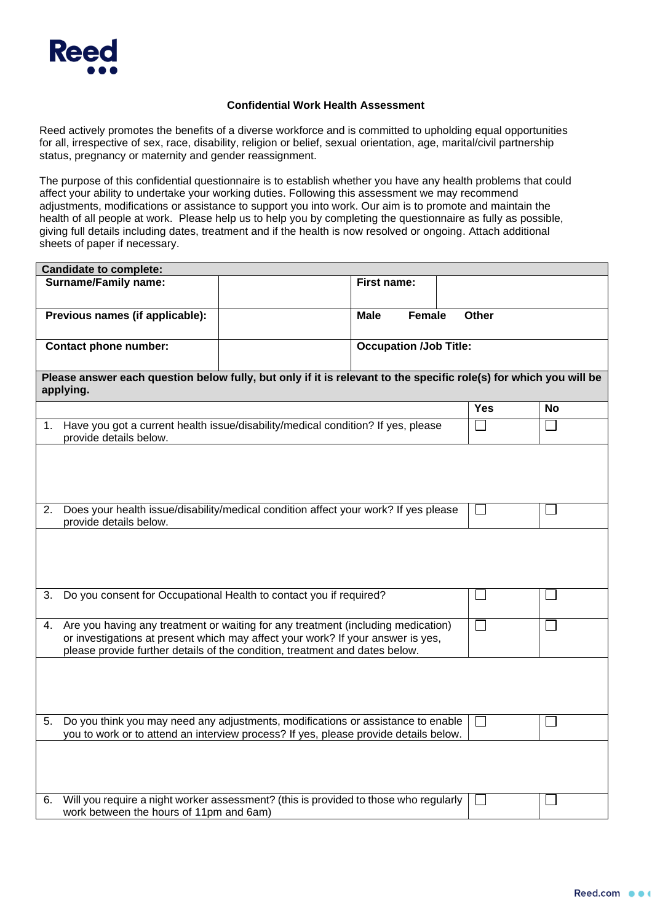

## **Confidential Work Health Assessment**

Reed actively promotes the benefits of a diverse workforce and is committed to upholding equal opportunities for all, irrespective of sex, race, disability, religion or belief, sexual orientation, age, marital/civil partnership status, pregnancy or maternity and gender reassignment.

The purpose of this confidential questionnaire is to establish whether you have any health problems that could affect your ability to undertake your working duties. Following this assessment we may recommend adjustments, modifications or assistance to support you into work. Our aim is to promote and maintain the health of all people at work. Please help us to help you by completing the questionnaire as fully as possible, giving full details including dates, treatment and if the health is now resolved or ongoing. Attach additional sheets of paper if necessary.

| <b>Candidate to complete:</b>                                                                                                                                                                                                                            |  |                               |  |              |           |  |  |
|----------------------------------------------------------------------------------------------------------------------------------------------------------------------------------------------------------------------------------------------------------|--|-------------------------------|--|--------------|-----------|--|--|
| <b>Surname/Family name:</b>                                                                                                                                                                                                                              |  | First name:                   |  |              |           |  |  |
| Previous names (if applicable):                                                                                                                                                                                                                          |  | <b>Female</b><br><b>Male</b>  |  | <b>Other</b> |           |  |  |
| <b>Contact phone number:</b>                                                                                                                                                                                                                             |  | <b>Occupation /Job Title:</b> |  |              |           |  |  |
| Please answer each question below fully, but only if it is relevant to the specific role(s) for which you will be<br>applying.                                                                                                                           |  |                               |  |              |           |  |  |
|                                                                                                                                                                                                                                                          |  |                               |  | Yes          | <b>No</b> |  |  |
| Have you got a current health issue/disability/medical condition? If yes, please<br>1.<br>provide details below.                                                                                                                                         |  |                               |  |              |           |  |  |
|                                                                                                                                                                                                                                                          |  |                               |  |              |           |  |  |
| Does your health issue/disability/medical condition affect your work? If yes please<br>2.<br>provide details below.                                                                                                                                      |  |                               |  |              |           |  |  |
|                                                                                                                                                                                                                                                          |  |                               |  |              |           |  |  |
| Do you consent for Occupational Health to contact you if required?<br>3.                                                                                                                                                                                 |  |                               |  |              |           |  |  |
| Are you having any treatment or waiting for any treatment (including medication)<br>4.<br>or investigations at present which may affect your work? If your answer is yes,<br>please provide further details of the condition, treatment and dates below. |  |                               |  |              |           |  |  |
|                                                                                                                                                                                                                                                          |  |                               |  |              |           |  |  |
| Do you think you may need any adjustments, modifications or assistance to enable<br>5.<br>you to work or to attend an interview process? If yes, please provide details below.                                                                           |  |                               |  |              |           |  |  |
|                                                                                                                                                                                                                                                          |  |                               |  |              |           |  |  |
| Will you require a night worker assessment? (this is provided to those who regularly<br>6.<br>work between the hours of 11pm and 6am)                                                                                                                    |  |                               |  |              |           |  |  |